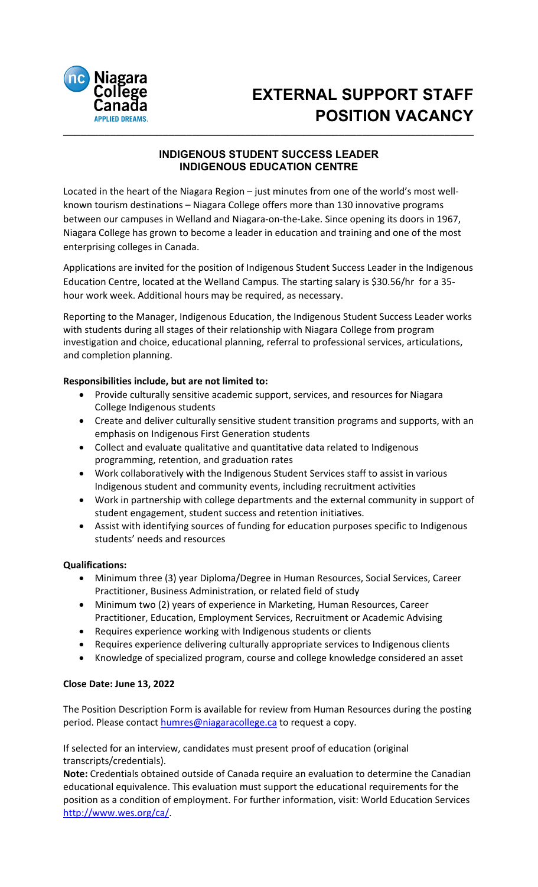

# **\_\_\_\_\_\_\_\_\_\_\_\_\_\_\_\_\_\_\_\_\_\_\_\_\_\_\_\_\_\_\_\_\_\_\_\_\_\_\_\_\_\_\_\_\_\_\_\_\_\_\_\_\_\_\_\_\_\_\_\_\_\_\_\_\_\_\_\_\_\_ EXTERNAL SUPPORT STAFF POSITION VACANCY**

## **INDIGENOUS STUDENT SUCCESS LEADER INDIGENOUS EDUCATION CENTRE**

Located in the heart of the Niagara Region – just minutes from one of the world's most wellknown tourism destinations – Niagara College offers more than 130 innovative programs between our campuses in Welland and Niagara-on-the-Lake. Since opening its doors in 1967, Niagara College has grown to become a leader in education and training and one of the most enterprising colleges in Canada.

Applications are invited for the position of Indigenous Student Success Leader in the Indigenous Education Centre, located at the Welland Campus. The starting salary is \$30.56/hr for a 35 hour work week. Additional hours may be required, as necessary.

Reporting to the Manager, Indigenous Education, the Indigenous Student Success Leader works with students during all stages of their relationship with Niagara College from program investigation and choice, educational planning, referral to professional services, articulations, and completion planning.

## **Responsibilities include, but are not limited to:**

- Provide culturally sensitive academic support, services, and resources for Niagara College Indigenous students
- Create and deliver culturally sensitive student transition programs and supports, with an emphasis on Indigenous First Generation students
- Collect and evaluate qualitative and quantitative data related to Indigenous programming, retention, and graduation rates
- Work collaboratively with the Indigenous Student Services staff to assist in various Indigenous student and community events, including recruitment activities
- Work in partnership with college departments and the external community in support of student engagement, student success and retention initiatives.
- Assist with identifying sources of funding for education purposes specific to Indigenous students' needs and resources

## **Qualifications:**

- Minimum three (3) year Diploma/Degree in Human Resources, Social Services, Career Practitioner, Business Administration, or related field of study
- Minimum two (2) years of experience in Marketing, Human Resources, Career Practitioner, Education, Employment Services, Recruitment or Academic Advising
- Requires experience working with Indigenous students or clients
- Requires experience delivering culturally appropriate services to Indigenous clients
- Knowledge of specialized program, course and college knowledge considered an asset

## **Close Date: June 13, 2022**

The Position Description Form is available for review from Human Resources during the posting period. Please contact [humres@niagaracollege.ca](mailto:humres@niagaracollege.ca) to request a copy.

If selected for an interview, candidates must present proof of education (original transcripts/credentials).

**Note:** Credentials obtained outside of Canada require an evaluation to determine the Canadian educational equivalence. This evaluation must support the educational requirements for the position as a condition of employment. For further information, visit: World Education Services [http://www.wes.org/ca/.](http://www.wes.org/ca/)